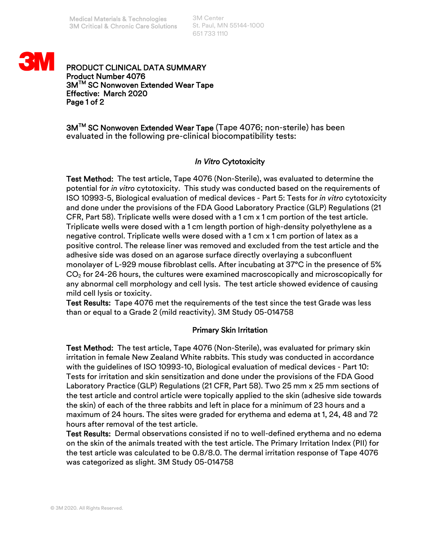3M Center St. Paul, MN 55144-1000 651 733 1110



PRODUCT CLINICAL DATA SUMMARY Product Number 4076 3M™ SC Nonwoven Extended Wear Tape Effective: March 2020 Page 1 of 2

3M™ SC Nonwoven Extended Wear Tape (Tape 4076; non-sterile) has been evaluated in the following pre-clinical biocompatibility tests:

## *In Vitro* Cytotoxicity

Test Method: The test article, Tape 4076 (Non-Sterile), was evaluated to determine the potential for *in vitro* cytotoxicity. This study was conducted based on the requirements of ISO 10993-5, Biological evaluation of medical devices - Part 5: Tests for *in vitro* cytotoxicity and done under the provisions of the FDA Good Laboratory Practice (GLP) Regulations (21 CFR, Part 58). Triplicate wells were dosed with a 1 cm x 1 cm portion of the test article. Triplicate wells were dosed with a 1 cm length portion of high-density polyethylene as a negative control. Triplicate wells were dosed with a 1 cm x 1 cm portion of latex as a positive control. The release liner was removed and excluded from the test article and the adhesive side was dosed on an agarose surface directly overlaying a subconfluent monolayer of L-929 mouse fibroblast cells. After incubating at 37°C in the presence of 5%  $CO<sub>2</sub>$  for 24-26 hours, the cultures were examined macroscopically and microscopically for any abnormal cell morphology and cell lysis. The test article showed evidence of causing mild cell lysis or toxicity.

Test Results: Tape 4076 met the requirements of the test since the test Grade was less than or equal to a Grade 2 (mild reactivity). 3M Study 05-014758

## Primary Skin Irritation

Test Method: The test article, Tape 4076 (Non-Sterile), was evaluated for primary skin irritation in female New Zealand White rabbits. This study was conducted in accordance with the guidelines of ISO 10993-10, Biological evaluation of medical devices - Part 10: Tests for irritation and skin sensitization and done under the provisions of the FDA Good Laboratory Practice (GLP) Regulations (21 CFR, Part 58). Two 25 mm x 25 mm sections of the test article and control article were topically applied to the skin (adhesive side towards the skin) of each of the three rabbits and left in place for a minimum of 23 hours and a maximum of 24 hours. The sites were graded for erythema and edema at 1, 24, 48 and 72 hours after removal of the test article.

Test Results: Dermal observations consisted if no to well-defined erythema and no edema on the skin of the animals treated with the test article. The Primary Irritation Index (PII) for the test article was calculated to be 0.8/8.0. The dermal irritation response of Tape 4076 was categorized as slight. 3M Study 05-014758